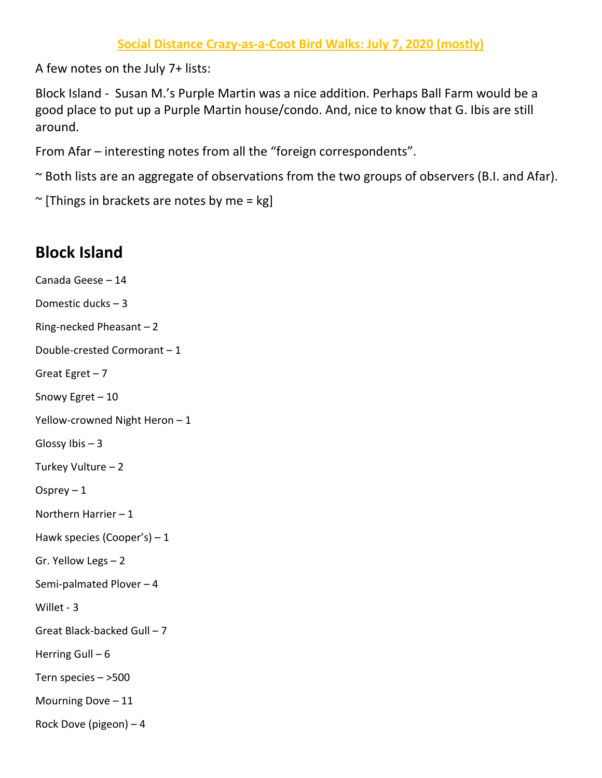A few notes on the July 7+ lists:

Block Island - Susan M.'s Purple Martin was a nice addition. Perhaps Ball Farm would be a good place to put up a Purple Martin house/condo. And, nice to know that G. Ibis are still around.

From Afar – interesting notes from all the "foreign correspondents".

~ Both lists are an aggregate of observations from the two groups of observers (B.I. and Afar).

 $\sim$  [Things in brackets are notes by me = kg]

## **Block Island**

```
Canada Geese – 14
Domestic ducks – 3 
Ring-necked Pheasant – 2 
Double-crested Cormorant – 1 
Great Egret -7Snowy Egret – 10
Yellow-crowned Night Heron – 1 
Glossy Ibis -3Turkey Vulture – 2 
Osprey -1Northern Harrier – 1 
Hawk species (Cooper's) – 1 
Gr. Yellow Legs – 2 
Semi-palmated Plover – 4 
Willet - 3 
Great Black-backed Gull – 7 
Herring Gull -6Tern species – >500 
Mourning Dove – 11 
Rock Dove (pigeon) – 4
```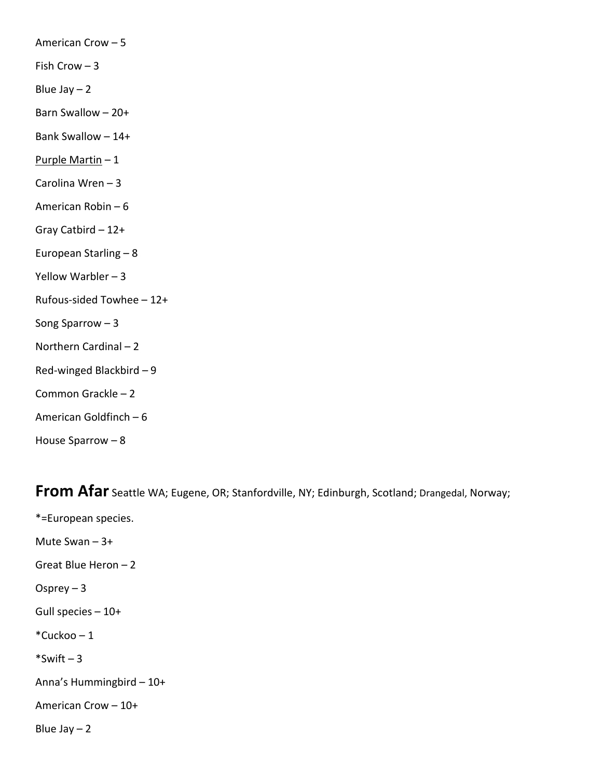American Crow – 5 Fish Crow  $-3$ Blue Jay  $-2$ Barn Swallow – 20+ Bank Swallow – 14+ Purple Martin – 1 Carolina Wren – 3 American Robin – 6 Gray Catbird – 12+ European Starling – 8 Yellow Warbler – 3 Rufous-sided Towhee – 12+ Song Sparrow – 3 Northern Cardinal – 2 Red-winged Blackbird – 9 Common Grackle – 2 American Goldfinch – 6 House Sparrow – 8

**From Afar** Seattle WA; Eugene, OR; Stanfordville, NY; Edinburgh, Scotland; Drangedal, Norway;

\*=European species. Mute Swan – 3+ Great Blue Heron – 2 Osprey  $-3$ Gull species – 10+  $*$ Cuckoo – 1  $*$ Swift – 3 Anna's Hummingbird – 10+ American Crow – 10+ Blue Jay  $-2$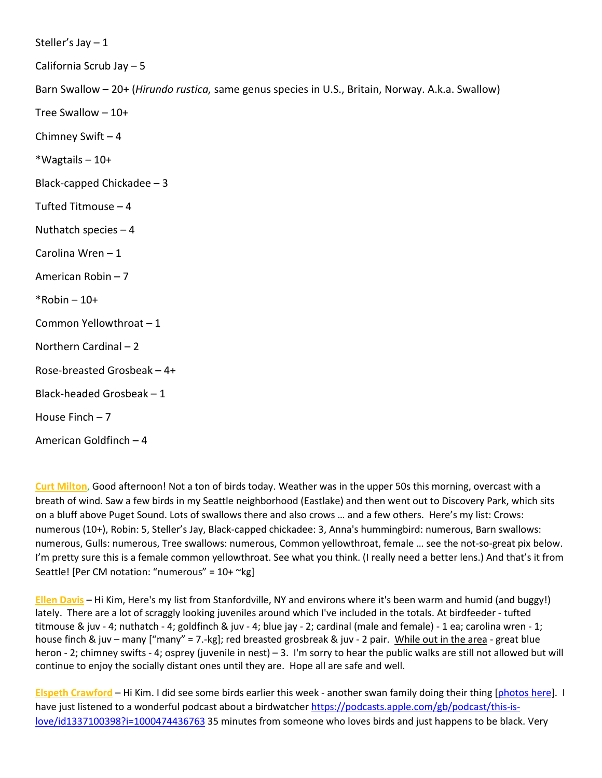Steller's Jay  $-1$ 

California Scrub Jay – 5

Barn Swallow – 20+ (*Hirundo rustica,* same genus species in U.S., Britain, Norway. A.k.a. Swallow)

Tree Swallow – 10+

Chimney Swift – 4

\*Wagtails – 10+

Black-capped Chickadee – 3

Tufted Titmouse – 4

Nuthatch species  $-4$ 

Carolina Wren – 1

American Robin – 7

 $*$ Robin – 10+

Common Yellowthroat – 1

Northern Cardinal – 2

Rose-breasted Grosbeak – 4+

Black-headed Grosbeak – 1

House Finch – 7

American Goldfinch – 4

**Curt Milton**, Good afternoon! Not a ton of birds today. Weather was in the upper 50s this morning, overcast with a breath of wind. Saw a few birds in my Seattle neighborhood (Eastlake) and then went out to Discovery Park, which sits on a bluff above Puget Sound. Lots of swallows there and also crows … and a few others. Here's my list: Crows: numerous (10+), Robin: 5, Steller's Jay, Black-capped chickadee: 3, Anna's hummingbird: numerous, Barn swallows: numerous, Gulls: numerous, Tree swallows: numerous, Common yellowthroat, female … see the not-so-great pix below. I'm pretty sure this is a female common yellowthroat. See what you think. (I really need a better lens.) And that's it from Seattle! [Per CM notation: "numerous" =  $10+$  ~kg]

**Ellen Davis** – Hi Kim, Here's my list from Stanfordville, NY and environs where it's been warm and humid (and buggy!) lately. There are a lot of scraggly looking juveniles around which I've included in the totals. At birdfeeder - tufted titmouse & juv - 4; nuthatch - 4; goldfinch & juv - 4; blue jay - 2; cardinal (male and female) - 1 ea; carolina wren - 1; house finch & juv – many ["many" = 7.-kg]; red breasted grosbreak & juv - 2 pair. While out in the area - great blue heron - 2; chimney swifts - 4; osprey (juvenile in nest) – 3. I'm sorry to hear the public walks are still not allowed but will continue to enjoy the socially distant ones until they are. Hope all are safe and well.

**Elspeth Crawford** – Hi Kim. I did see some birds earlier this week - another swan family doing their thing [\[photos here\]](https://protect-us.mimecast.com/s/GoLiCpYongSlQvGwsPFojU?domain=elspethc.wordpress.com). I have just listened to a wonderful podcast about a birdwatcher [https://podcasts.apple.com/gb/podcast/this-is](https://protect-us.mimecast.com/s/jMxACqxpojh4LzD2CXeFWF?domain=podcasts.apple.com)[love/id1337100398?i=1000474436763](https://protect-us.mimecast.com/s/jMxACqxpojh4LzD2CXeFWF?domain=podcasts.apple.com) 35 minutes from someone who loves birds and just happens to be black. Very